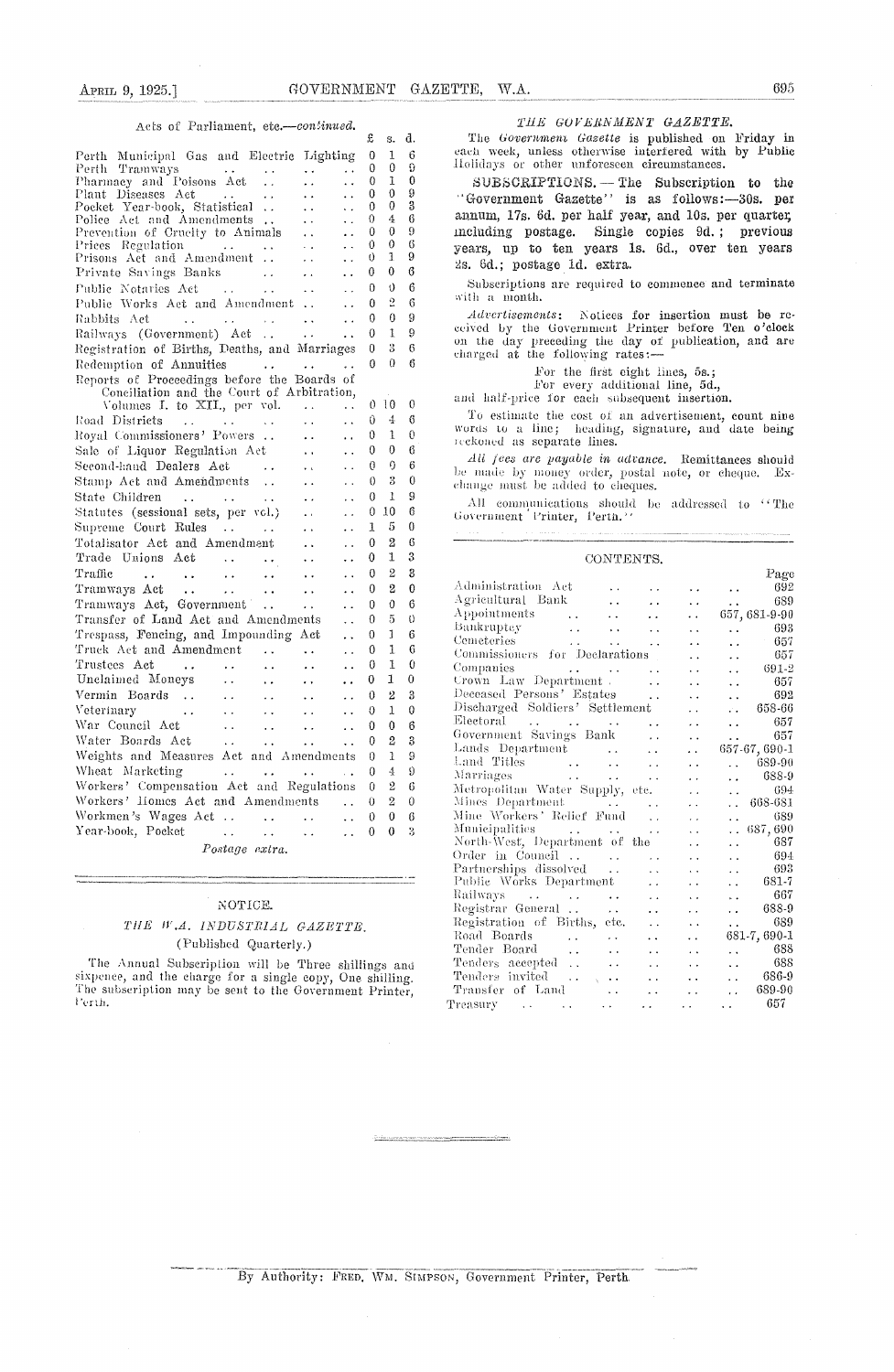#### Acts of Parliament, etc.-continued.

| APRIL 9, 1925.]                                                                                                          |                         | GOVERNMENT                              |                                              |          |                 |        | GAZETTE,<br>W.A.<br>ТШ        |
|--------------------------------------------------------------------------------------------------------------------------|-------------------------|-----------------------------------------|----------------------------------------------|----------|-----------------|--------|-------------------------------|
| Acts of Parliament, etc.—continued.                                                                                      |                         |                                         |                                              | £        | s.              | d.     | The Govern                    |
| Perth Municipal Gas and Electric Lighting                                                                                |                         |                                         |                                              | 0        | 1               | 6<br>9 | each week, u<br>Holidays or c |
| Perth Tramways<br>Pharmacy and Poisons Act                                                                               | $\sim$ $\sim$           | $\ddotsc$<br>$\epsilon$ .               | $\ddot{\phantom{0}}$                         | 0<br>0   | 0<br>1          | 0      | ${\tt SUBSGRI}$               |
| Plant Diseases Act                                                                                                       | $\sim$ $\times$         | $\sim$ $\sim$                           | $\ddot{\phantom{0}}$                         | 0        | 0               | 9      | ''Governmen                   |
| Pocket Year-book, Statistical                                                                                            |                         | $\ddot{\phantom{a}}$                    | $\ddot{\phantom{a}}$                         | 0        | 0               | 3      | annum, 17s.                   |
| Police Act and Amendments<br>Prevention of Cruelty to Animals                                                            |                         | $\ddot{\phantom{1}}$ .<br>$\sim$ $\sim$ | $\sim$ .<br>$\ddot{\phantom{0}}$             | 0<br>0   | 4<br>0          | 6<br>9 | including po                  |
| Prices Regulation<br>$\mathbf{u} \cdot \mathbf{u} = \mathbf{u} \cdot \mathbf{u}$                                         | $\sim 10^{-1}$          | $\sim$ $\sim$                           | $\ddot{\phantom{0}}$                         | 0        | 0               | 6      | years, up to                  |
| Prisons Act and Amendment                                                                                                |                         | $\sim$ $\sim$                           | $\ddot{\phantom{0}}$                         | 0        | 1               | 9      | 2s. 6d.; post                 |
| Private Savings Banks                                                                                                    | $\sim$ $\sim$           | $\bullet$ $\bullet$                     | $\ddot{\phantom{0}}$                         | 0        | 0               | 6      |                               |
| Public Notaries Act<br>$\sim 100$ km s $^{-1}$                                                                           | μ.                      | $\ddot{\phantom{1}}$ .                  | $\ddot{\phantom{0}}$                         | 0        | $\theta$        | 6      | Subscription<br>with a month  |
| Public Works Act and Amendment                                                                                           |                         |                                         | $\ddot{\phantom{0}}$                         | 0        | 2<br>0          | 6<br>9 | Advertiseme                   |
| Rabbits Act<br>$\sim 100$ km s $^{-1}$<br>$\sim$ $\sim$                                                                  | $\epsilon$ . $\epsilon$ | $\ddotsc$                               | $\ddotsc$                                    | 0<br>0   | 1               | 9      | ceived by the                 |
| Railways (Government) Act<br>Registration of Births, Deaths, and Marriages                                               |                         | $\sim$ $\sim$                           | $\ddot{\phantom{a}}$                         | 0        | 3               | 6      | on the day p                  |
| Redemption of Annuities                                                                                                  |                         |                                         | . .                                          | 0        | 0               | 6      | charged at th                 |
| Reports of Proceedings before the Boards of                                                                              |                         |                                         |                                              |          |                 |        |                               |
| Conciliation and the Court of Arbitration,                                                                               |                         |                                         |                                              |          |                 |        | and half-price                |
| Volumes I, to XII., per vol.                                                                                             |                         | $\sim 100$ km s $^{-1}$                 | .,                                           |          | 0 <sup>10</sup> | 0      | To estimato                   |
| Road Districts<br><b>Contract Contract</b>                                                                               |                         | $\sim$ $\sim$                           | $\ddot{\phantom{1}}$                         | 0        | 4               | 6      | words to a l                  |
| Royal Commissioners' Powers                                                                                              |                         | $\ddot{\phantom{1}}$ .                  | $\ddot{\phantom{1}}$                         | 0<br>0   | 1<br>0          | 0<br>6 | reekoned as s                 |
| Sale of Liquor Regulation Act<br>Second-hand Dealers Act                                                                 |                         | $\mathbf{a}$ , $\mathbf{a}$<br>$\sim 1$ | $\ddot{\phantom{0}}$<br>$\ddot{\phantom{a}}$ | 0        | 0               | 6      | All fees are                  |
| Stamp Act and Amendments                                                                                                 |                         | $\bullet$ $\bullet$                     | $\ddot{\phantom{0}}$                         | 0        | 3               | 0      | be made by 1                  |
| State Children<br>$\mathbf{z}$ , $\mathbf{z}$ , $\mathbf{z}$ , $\mathbf{z}$ , $\mathbf{z}$ , $\mathbf{z}$ , $\mathbf{z}$ |                         | $\sim$ $\sigma$                         | $\ddot{\phantom{1}}$                         | 0        | 1               | 9      | change must l                 |
| Statutes (sessional sets, per vol.)                                                                                      |                         | $\bullet$ $\bullet$                     | $\sim$                                       | 0        | 10              | 6      | All commu<br>Government 1     |
| Supreme Court Rules<br>$\mathcal{L}^{\text{max}}_{\text{max}}$ .                                                         |                         | $\epsilon$ .                            | $\ddot{\phantom{1}}$                         | 1        | 5               | 0      |                               |
| Totalisator Act and Amendment                                                                                            |                         | $\ddot{\phantom{1}}$ .                  | $\ddot{\phantom{0}}$                         | 0        | 2               | 6      |                               |
| Trade Unions Act<br>$\mathcal{L}^{\text{max}}_{\text{max}}$ , and $\mathcal{L}^{\text{max}}_{\text{max}}$                |                         | $\sim$ $\sim$                           | $\ddot{\phantom{0}}$                         | 0        | 1               | 3      |                               |
| Traffic<br>والمنادي والمتعارض والمتعاون والمتعارض والمتناور                                                              | <b>State State</b>      |                                         |                                              | $\Omega$ | 2               | 3      |                               |
| Tramways Act<br>$\mathcal{L}(\mathbf{x},\mathbf{y})$ , and $\mathcal{L}(\mathbf{x},\mathbf{y})$                          | $\ddot{\phantom{1}}$    | $\sim$ $\sim$                           | . .                                          | 0        | 2               | 0      | Administratio<br>Agricultural |
| Tramways Act, Government                                                                                                 | $\ddot{\phantom{a}}$    | $\ddotsc$                               | . .                                          | 0        | 0               | 6      | $\Lambda$ ppointments         |
| Transfer of Land Act and Amendments                                                                                      |                         |                                         | . .                                          | 0        | 5<br>1          | O<br>6 | Bankruptey                    |
| Trespass, Fencing, and Impounding Act<br>Truck Act and Amendment                                                         |                         |                                         |                                              | 0<br>0   | 1               | 6      | Cemeteries                    |
| Trustees Act<br>$\ddot{\phantom{a}}$                                                                                     | $\ddot{\phantom{a}}$    |                                         | ÷.                                           | 0        | 1               | 0      | Commissioners                 |
| Unclaimed Moneys<br>. .                                                                                                  | .,                      | $\ddot{\phantom{1}}$                    |                                              | 0        | 1               | 0      | Companies<br>Crown Law 1      |
| Vermin Boards<br>$\sim$ .                                                                                                |                         |                                         |                                              | 0        | 2               | 3      | Deceased Pers                 |
| Veterinary<br>. .                                                                                                        | . .                     |                                         |                                              | 0        | 1               | 0      | Discharged S                  |
| War Council Act<br>Ω,                                                                                                    | . .                     | . .                                     | $\ddot{\phantom{0}}$                         | 0        | 0               | 6      | Electoral<br>$Government \&$  |
| Water Boards Act<br>$\ddot{\phantom{0}}$                                                                                 | $\ddot{\phantom{0}}$    |                                         |                                              | 0        | 2               | 3      | Lands Depart                  |
| Weights and Measures Act and Amendments                                                                                  |                         |                                         |                                              | 0        | 1               | 9      | Land Titles                   |
| Wheat Marketing<br>$\ddot{\phantom{a}}$                                                                                  | i.                      |                                         | $\sim 10$                                    | 0        | 4               | 9      | Marriages                     |
| Workers' Compensation Act and Regulations<br>Workers' Homes Act and Amendments                                           |                         |                                         |                                              | 0        | 2               | 6      | Metropolitan                  |
| Workmen's Wages Act                                                                                                      | $\ddot{\phantom{a}}$    |                                         | . .                                          | 0<br>0   | 2<br>0          | 0<br>6 | Mines Depart<br>Mine Workers  |
| Year-book, Pocket<br>$\epsilon$ .                                                                                        | $\ddot{\phantom{0}}$    |                                         | $\ddot{\phantom{0}}$<br>. .                  | 0        | 0               | 3      | Municipalities                |
|                                                                                                                          |                         |                                         |                                              |          |                 |        | $N$ orth Woet $\Box$          |

*Postage extra.*

#### *NOTICE.*

#### *THE W .A. INDUSTRIAL GAZETTE.* (Published Quarterly.)

The Annual Subscription will be Three shillings and increasing the charge for a single copy, One shilling. The subscription may be sent to the Government Printer

#### $\begin{array}{cccc} THE & GOVERNMENT & GAZETTE. \end{array}$

The *Govermernene Gazette is* published on Friday in each week, unless otherwise interfered with by Public Holidays or other unforeseen circumstances.

 $\texttt{SUBSGRIPTIONS.} - \text{The Subscript ion to the}$ "Government Gazette" is as follows: -30s. per annum, 17s. 6d. per half year, and 10s. per quarter, including postage. Single copies 3d. ; previous years, up to ten years is. 6d., over ten years 2s. 6d.; postage id. extra.

Subscriptions are required to commence and terminate with a month.

*Adc'ertwenments;* Notices for insertion must be received by the Government Printer before Ten o'clock on the day preceding the day of publication, and are charged at the following rates:

For the first eight lines, 5s.;

For every additional line, 5d.,

and half-price for each subsequent insertion.

To estimate the cost of an advertisement, count nine<br>words to a line; heading, signature, and date being reckoned as separate lines.

*All fees are payable in advance.* Remittances should *r* made by money order, postal note, or cheque. Ex-All fees are payable in advance. Remittances should<br>be made by money order, postal note, or cheque. Ex-<br>change must be added to cheques.

All communications should be addressed to "The Government Printer, Perth."

| CONTENTS.                                                                                                                                                                                                                              |                            |                      |                      |               |
|----------------------------------------------------------------------------------------------------------------------------------------------------------------------------------------------------------------------------------------|----------------------------|----------------------|----------------------|---------------|
|                                                                                                                                                                                                                                        |                            |                      |                      | Page          |
| Administration Act                                                                                                                                                                                                                     |                            |                      | $\ddot{\phantom{a}}$ | 692           |
| Agricultural Bank                                                                                                                                                                                                                      |                            | $\ddot{\phantom{0}}$ | $\ddotsc$            | 689           |
| Appointments<br>$\mathcal{L}(\mathcal{L})$                                                                                                                                                                                             |                            | . .                  |                      | 657, 681-9-90 |
| Bankruptcy                                                                                                                                                                                                                             | $\ddot{\phantom{a}}$       | . .                  | $\ddot{\phantom{0}}$ | 693           |
|                                                                                                                                                                                                                                        |                            |                      | $\ddot{\phantom{0}}$ | 657           |
| Commissioners for Declarations                                                                                                                                                                                                         |                            |                      | $\ddot{\phantom{a}}$ | 657           |
| Companies                                                                                                                                                                                                                              |                            |                      | $\ddot{\phantom{a}}$ | 691-2         |
|                                                                                                                                                                                                                                        |                            |                      | $\ddot{\phantom{a}}$ | 657           |
| Deceased Persons' Estates                                                                                                                                                                                                              | $\overline{\phantom{a}}$ . |                      | $\ddot{\phantom{0}}$ | 692           |
| Discharged Soldiers' Settlement                                                                                                                                                                                                        |                            |                      | a.                   | 658-66        |
| Electoral<br>and the contract of the state                                                                                                                                                                                             | $\ddot{\phantom{0}}$       | . .                  | $\ddot{\phantom{a}}$ | 657           |
| Government Savings Bank                                                                                                                                                                                                                | $\ddot{\phantom{0}}$       | $\ddot{\phantom{1}}$ | $\ddot{\phantom{a}}$ | 657           |
| Lands Department                                                                                                                                                                                                                       | $\ddot{\phantom{a}}$       | $\ddot{\phantom{0}}$ |                      | 657-67, 690-1 |
|                                                                                                                                                                                                                                        | $\sim$ .                   |                      |                      | 689-90        |
| Land Titles<br>Marriages<br>Alexander Alexander Alexander Alexander Alexander Alexander Alexander Alexander Alexander Alexander Alexander<br>Alexander Alexander Alexander Alexander Alexander Alexander Alexander Alexander Alexander | $\ddot{\phantom{a}}$       | . .                  | i.                   | 688-9         |
| Metropolitan Water Supply, etc.                                                                                                                                                                                                        |                            | $\ddot{\phantom{0}}$ | . .                  | 694           |
| Mines Department                                                                                                                                                                                                                       |                            | $\ddot{\phantom{0}}$ | $\ddot{\phantom{a}}$ | 668-681       |
| Mine Workers' Relief Fund                                                                                                                                                                                                              |                            | . .                  | $\ddot{\phantom{0}}$ | 689           |
|                                                                                                                                                                                                                                        |                            | $\ddot{\phantom{a}}$ | $\ddot{\phantom{0}}$ | 687,690       |
| Municipalities<br>North-West, Department of the                                                                                                                                                                                        |                            | $\sim$               | $\ddot{\phantom{0}}$ | 687           |
| Order in Council                                                                                                                                                                                                                       |                            |                      | $\ddot{\phantom{0}}$ | 694           |
|                                                                                                                                                                                                                                        |                            |                      | $\ddot{\phantom{0}}$ | 693           |
| Partnerships dissolved<br>Public Works Department                                                                                                                                                                                      |                            |                      | . .                  | 681-7         |
| Railways                                                                                                                                                                                                                               |                            |                      | $\ddot{\phantom{0}}$ | 667           |
|                                                                                                                                                                                                                                        | $\ddot{\phantom{0}}$       | . .                  | . .                  | 688-9         |
| Registrar General                                                                                                                                                                                                                      | $\ddot{\phantom{a}}$       | $\ddot{\phantom{0}}$ | $\ddot{\phantom{0}}$ | 689           |
| Registration of Births, etc.<br>Road Boards                                                                                                                                                                                            | $\ddot{\phantom{a}}$       | $\ddot{\phantom{a}}$ | $\ddot{\phantom{a}}$ |               |
| $\mathbf{z}$ , $\mathbf{z}$ , $\mathbf{z}$ , $\mathbf{z}$<br>$\sim 10^{-1}$                                                                                                                                                            | $\ddot{\phantom{0}}$       | $\ddot{\phantom{0}}$ |                      | 681-7,690-1   |
| Tender Board<br>$\ddotsc$                                                                                                                                                                                                              | $\ddot{\phantom{0}}$       | . .                  | $\ddot{\phantom{1}}$ | 688           |
| Tenders accepted<br>$\ddot{\phantom{0}}$                                                                                                                                                                                               | . .                        | $\ddot{\phantom{1}}$ | $\ddot{\phantom{a}}$ | 688           |
| Tenders invited $\ldots$ ,                                                                                                                                                                                                             | $\ddot{\phantom{0}}$       | $\ddot{\phantom{0}}$ | . .                  | - 686-9       |
| Transfer of Land<br>$\ddot{\phantom{0}}$                                                                                                                                                                                               |                            | $\ddot{\phantom{0}}$ | $\ddot{\phantom{0}}$ | 689-90        |
| $\sim$ $\sim$                                                                                                                                                                                                                          | $\ddot{\phantom{0}}$       | $\ddot{\phantom{0}}$ | $\ddot{\phantom{0}}$ | 657           |
|                                                                                                                                                                                                                                        |                            |                      |                      |               |

#### By Authority: FRED. WM. SIMPSON, Government Printer, Perth.